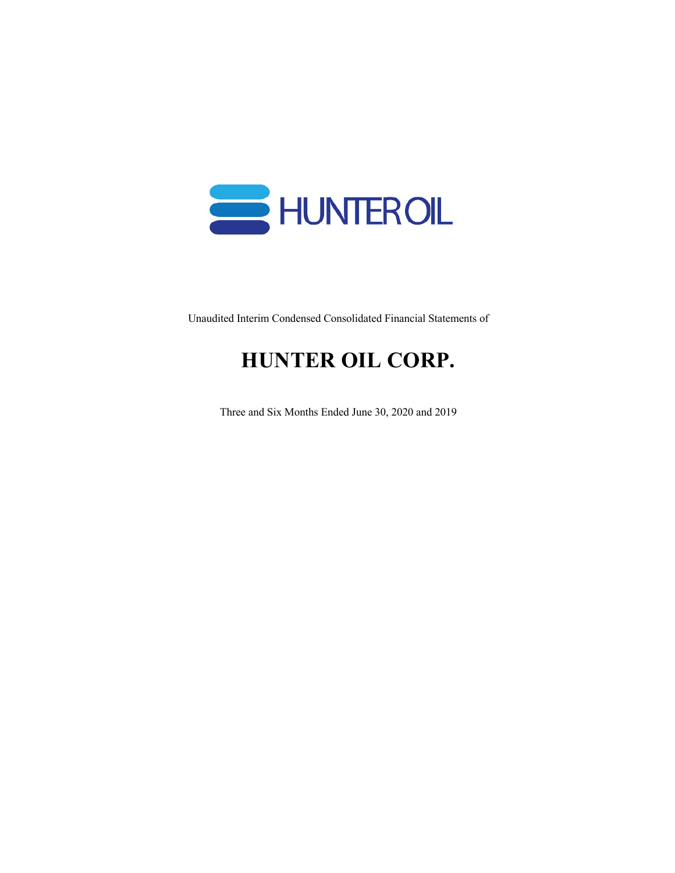

Unaudited Interim Condensed Consolidated Financial Statements of

# **HUNTER OIL CORP.**

Three and Six Months Ended June 30, 2020 and 2019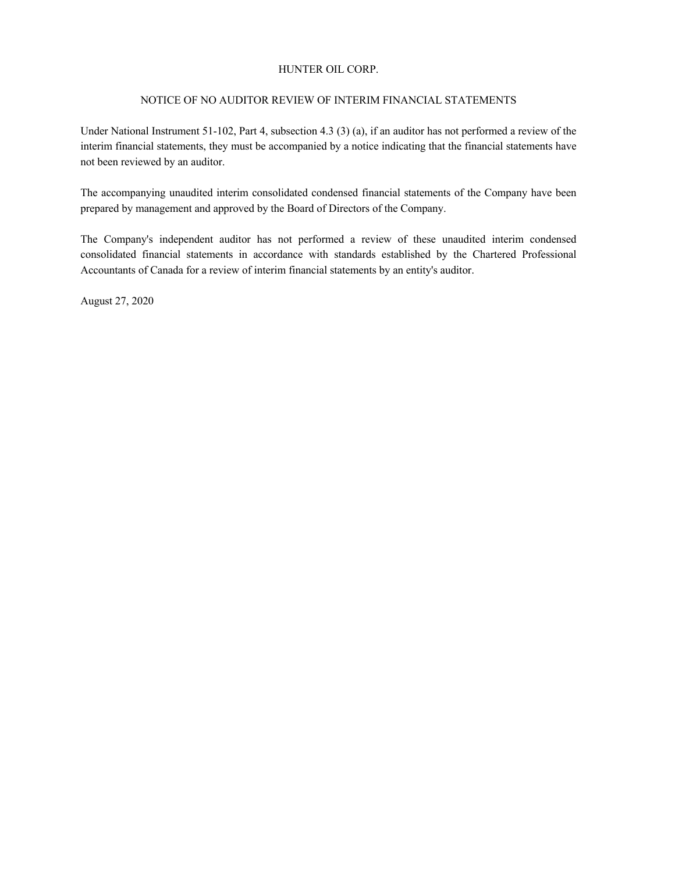### NOTICE OF NO AUDITOR REVIEW OF INTERIM FINANCIAL STATEMENTS

Under National Instrument 51-102, Part 4, subsection 4.3 (3) (a), if an auditor has not performed a review of the interim financial statements, they must be accompanied by a notice indicating that the financial statements have not been reviewed by an auditor.

The accompanying unaudited interim consolidated condensed financial statements of the Company have been prepared by management and approved by the Board of Directors of the Company.

The Company's independent auditor has not performed a review of these unaudited interim condensed consolidated financial statements in accordance with standards established by the Chartered Professional Accountants of Canada for a review of interim financial statements by an entity's auditor.

August 27, 2020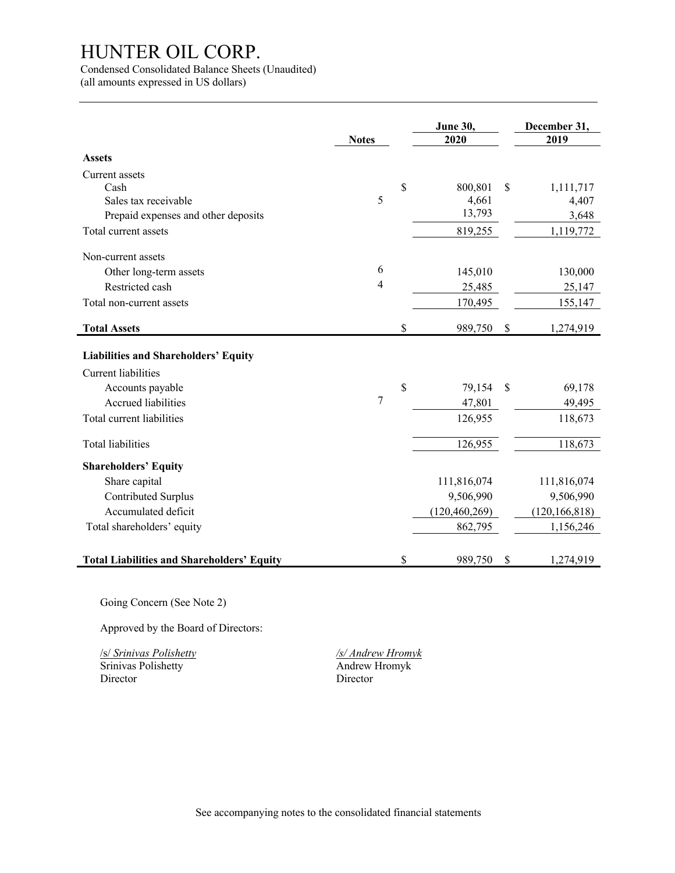Condensed Consolidated Balance Sheets (Unaudited)

(all amounts expressed in US dollars)

j.

|                                                   | <b>Notes</b> | June 30,<br>2020 |    | December 31,<br>2019 |
|---------------------------------------------------|--------------|------------------|----|----------------------|
| <b>Assets</b>                                     |              |                  |    |                      |
|                                                   |              |                  |    |                      |
| Current assets<br>Cash                            |              | \$<br>800,801    | \$ | 1,111,717            |
| Sales tax receivable                              | 5            | 4,661            |    | 4,407                |
| Prepaid expenses and other deposits               |              | 13,793           |    | 3,648                |
| Total current assets                              |              | 819,255          |    | 1,119,772            |
| Non-current assets                                |              |                  |    |                      |
| Other long-term assets                            | 6            | 145,010          |    | 130,000              |
| Restricted cash                                   | 4            | 25,485           |    | 25,147               |
| Total non-current assets                          |              | 170,495          |    | 155,147              |
| <b>Total Assets</b>                               |              | \$<br>989,750    | \$ | 1,274,919            |
| <b>Liabilities and Shareholders' Equity</b>       |              |                  |    |                      |
| <b>Current liabilities</b>                        |              |                  |    |                      |
| Accounts payable                                  |              | \$<br>79,154     | S  | 69,178               |
| <b>Accrued liabilities</b>                        | 7            | 47,801           |    | 49,495               |
| Total current liabilities                         |              | 126,955          |    | 118,673              |
| <b>Total liabilities</b>                          |              | 126,955          |    | 118,673              |
| <b>Shareholders' Equity</b>                       |              |                  |    |                      |
| Share capital                                     |              | 111,816,074      |    | 111,816,074          |
| Contributed Surplus                               |              | 9,506,990        |    | 9,506,990            |
| Accumulated deficit                               |              | (120, 460, 269)  |    | (120, 166, 818)      |
| Total shareholders' equity                        |              | 862,795          |    | 1,156,246            |
| <b>Total Liabilities and Shareholders' Equity</b> |              | \$<br>989,750    | \$ | 1,274,919            |

Going Concern (See Note 2)

Approved by the Board of Directors:

/s/ *Srinivas Polishetty /s/ Andrew Hromyk* Srinivas Polishetty Director Director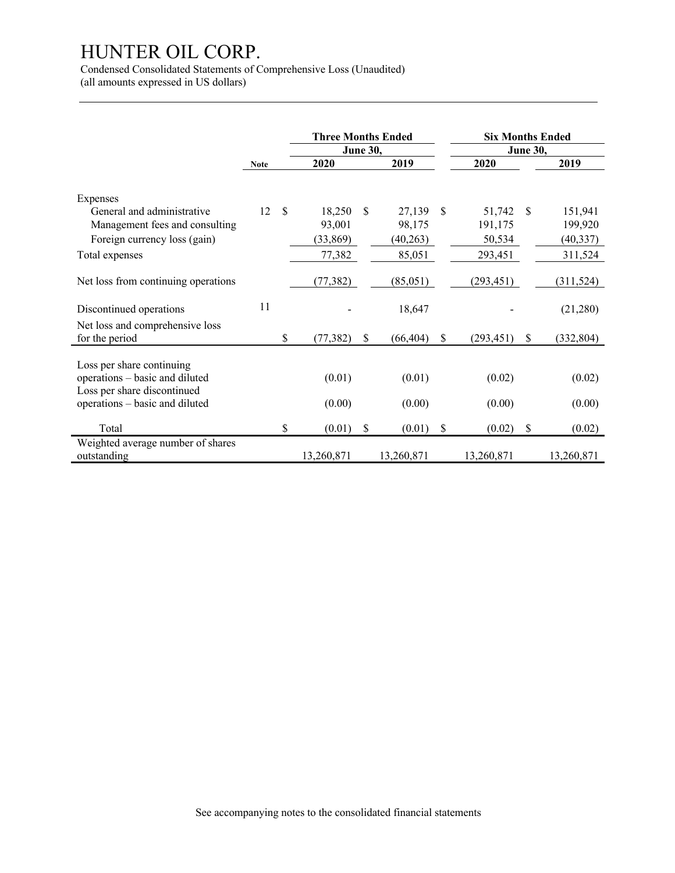Condensed Consolidated Statements of Comprehensive Loss (Unaudited)

(all amounts expressed in US dollars)

|                                                                                                                              |             |               | <b>Three Months Ended</b>     |                 |                              |              | <b>Six Months Ended</b>     |                 |                                 |
|------------------------------------------------------------------------------------------------------------------------------|-------------|---------------|-------------------------------|-----------------|------------------------------|--------------|-----------------------------|-----------------|---------------------------------|
|                                                                                                                              |             |               |                               | <b>June 30,</b> |                              |              |                             | <b>June 30,</b> |                                 |
|                                                                                                                              | <b>Note</b> |               | 2020                          |                 | 2019                         |              | 2020                        |                 | 2019                            |
| Expenses<br>General and administrative<br>Management fees and consulting<br>Foreign currency loss (gain)                     | 12          | $\mathcal{S}$ | 18,250<br>93,001<br>(33, 869) | \$.             | 27,139<br>98,175<br>(40,263) | $\mathbb{S}$ | 51,742<br>191,175<br>50,534 | -S              | 151,941<br>199,920<br>(40, 337) |
| Total expenses                                                                                                               |             |               | 77,382                        |                 | 85,051                       |              | 293,451                     |                 | 311,524                         |
| Net loss from continuing operations<br>Discontinued operations                                                               | 11          |               | (77, 382)                     |                 | (85,051)<br>18,647           |              | (293, 451)                  |                 | (311, 524)<br>(21,280)          |
| Net loss and comprehensive loss<br>for the period                                                                            |             | \$            | (77, 382)                     | $\mathbb{S}$    | (66, 404)                    | \$           | (293, 451)                  | \$              | (332, 804)                      |
| Loss per share continuing<br>operations - basic and diluted<br>Loss per share discontinued<br>operations - basic and diluted |             |               | (0.01)<br>(0.00)              |                 | (0.01)<br>(0.00)             |              | (0.02)<br>(0.00)            |                 | (0.02)<br>(0.00)                |
| Total                                                                                                                        |             | \$            | (0.01)                        | \$              | (0.01)                       | \$           | (0.02)                      | \$              | (0.02)                          |
| Weighted average number of shares<br>outstanding                                                                             |             |               | 13,260,871                    |                 | 13,260,871                   |              | 13,260,871                  |                 | 13,260,871                      |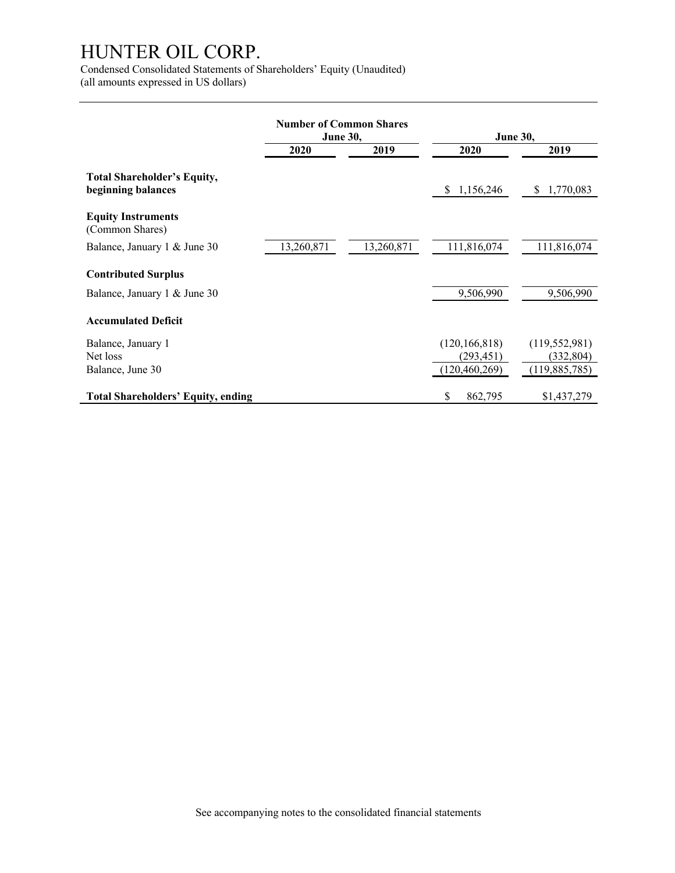Condensed Consolidated Statements of Shareholders' Equity (Unaudited) (all amounts expressed in US dollars)

|                                                            | <b>Number of Common Shares</b>  |            | <b>June 30,</b> |                 |  |
|------------------------------------------------------------|---------------------------------|------------|-----------------|-----------------|--|
|                                                            | <b>June 30,</b><br>2020<br>2019 |            | 2020            | 2019            |  |
| Total Shareholder's Equity,<br>beginning balances          |                                 |            | 1,156,246<br>S. | 1,770,083<br>S. |  |
| <b>Equity Instruments</b><br>(Common Shares)               |                                 |            |                 |                 |  |
| Balance, January 1 & June 30                               | 13,260,871                      | 13,260,871 | 111,816,074     | 111,816,074     |  |
| <b>Contributed Surplus</b><br>Balance, January 1 & June 30 |                                 |            | 9,506,990       | 9,506,990       |  |
| <b>Accumulated Deficit</b>                                 |                                 |            |                 |                 |  |
| Balance, January 1                                         |                                 |            | (120, 166, 818) | (119, 552, 981) |  |
| Net loss                                                   |                                 |            | (293,451)       | (332, 804)      |  |
| Balance, June 30                                           |                                 |            | (120, 460, 269) | (119,885,785)   |  |
| <b>Total Shareholders' Equity, ending</b>                  |                                 |            | \$<br>862,795   | \$1,437,279     |  |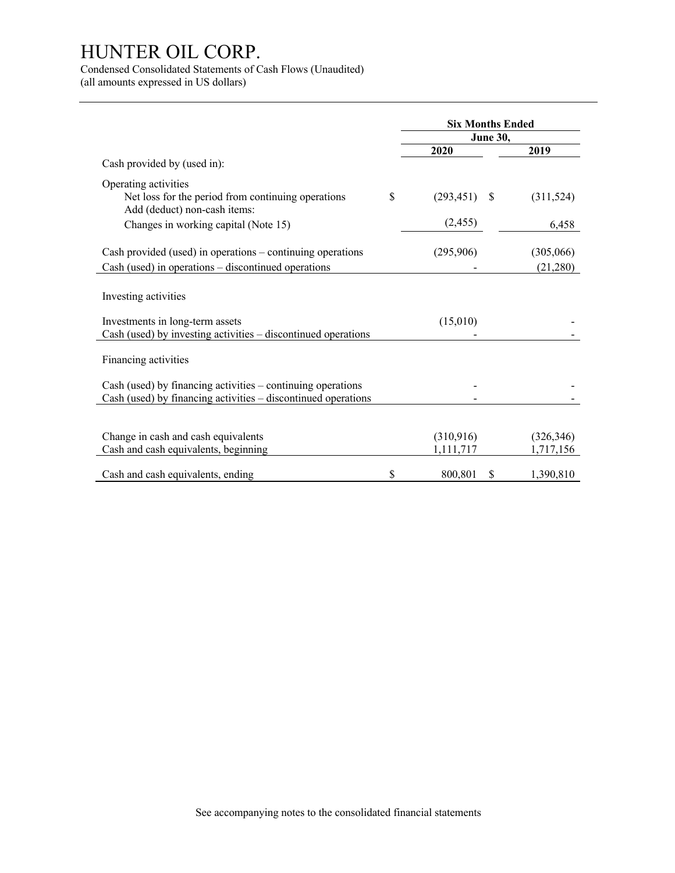Condensed Consolidated Statements of Cash Flows (Unaudited) (all amounts expressed in US dollars)

**Six Months Ended June 30, 2020 2019** Cash provided by (used in): Operating activities Net loss for the period from continuing operations  $\qquad$  (293,451) \$ (311,524) Add (deduct) non-cash items: Changes in working capital (Note 15) (2,455) (2,455) Cash provided (used) in operations – continuing operations (295,906) (305,066) Cash (used) in operations – discontinued operations - (21,280) Investing activities  $Investments in long-term assets$  (15,010) Cash (used) by investing activities – discontinued operations - - Financing activities Cash (used) by financing activities – continuing operations - -  $Cash (used)$  by financing activities  $-$  discontinued operations Change in cash and cash equivalents (310,916) (326,346) Cash and cash equivalents, beginning 1,111,717 1,111,717 1,717,156 Cash and cash equivalents, ending  $$800,801 \$1,390,810$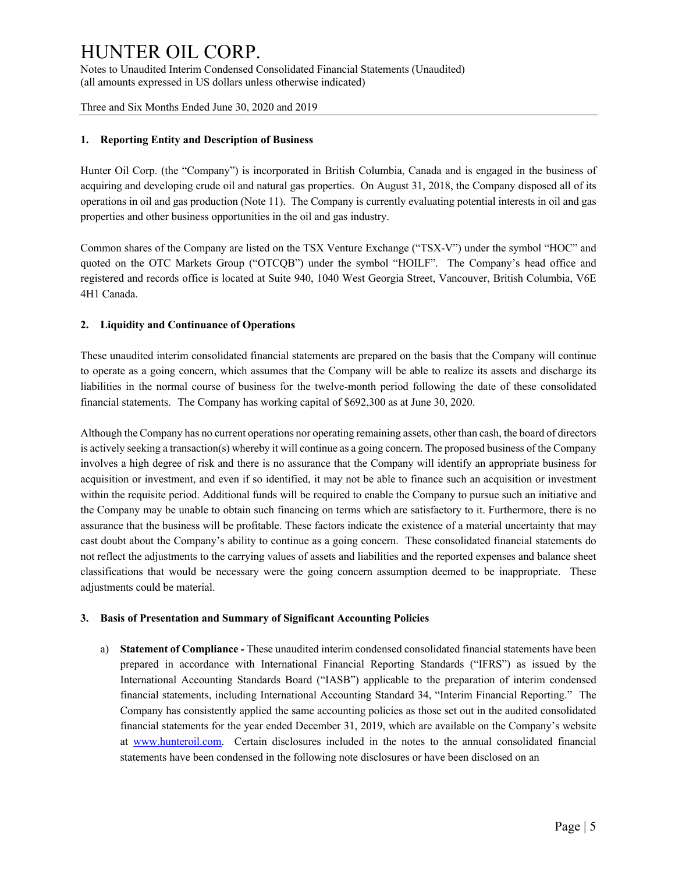Three and Six Months Ended June 30, 2020 and 2019

### **1. Reporting Entity and Description of Business**

Hunter Oil Corp. (the "Company") is incorporated in British Columbia, Canada and is engaged in the business of acquiring and developing crude oil and natural gas properties. On August 31, 2018, the Company disposed all of its operations in oil and gas production (Note 11). The Company is currently evaluating potential interests in oil and gas properties and other business opportunities in the oil and gas industry.

Common shares of the Company are listed on the TSX Venture Exchange ("TSX-V") under the symbol "HOC" and quoted on the OTC Markets Group ("OTCQB") under the symbol "HOILF". The Company's head office and registered and records office is located at Suite 940, 1040 West Georgia Street, Vancouver, British Columbia, V6E 4H1 Canada.

### **2. Liquidity and Continuance of Operations**

These unaudited interim consolidated financial statements are prepared on the basis that the Company will continue to operate as a going concern, which assumes that the Company will be able to realize its assets and discharge its liabilities in the normal course of business for the twelve-month period following the date of these consolidated financial statements. The Company has working capital of \$692,300 as at June 30, 2020.

Although the Company has no current operations nor operating remaining assets, other than cash, the board of directors is actively seeking a transaction(s) whereby it will continue as a going concern. The proposed business of the Company involves a high degree of risk and there is no assurance that the Company will identify an appropriate business for acquisition or investment, and even if so identified, it may not be able to finance such an acquisition or investment within the requisite period. Additional funds will be required to enable the Company to pursue such an initiative and the Company may be unable to obtain such financing on terms which are satisfactory to it. Furthermore, there is no assurance that the business will be profitable. These factors indicate the existence of a material uncertainty that may cast doubt about the Company's ability to continue as a going concern. These consolidated financial statements do not reflect the adjustments to the carrying values of assets and liabilities and the reported expenses and balance sheet classifications that would be necessary were the going concern assumption deemed to be inappropriate. These adjustments could be material.

### **3. Basis of Presentation and Summary of Significant Accounting Policies**

a) **Statement of Compliance -** These unaudited interim condensed consolidated financial statements have been prepared in accordance with International Financial Reporting Standards ("IFRS") as issued by the International Accounting Standards Board ("IASB") applicable to the preparation of interim condensed financial statements, including International Accounting Standard 34, "Interim Financial Reporting." The Company has consistently applied the same accounting policies as those set out in the audited consolidated financial statements for the year ended December 31, 2019, which are available on the Company's website at www.hunteroil.com. Certain disclosures included in the notes to the annual consolidated financial statements have been condensed in the following note disclosures or have been disclosed on an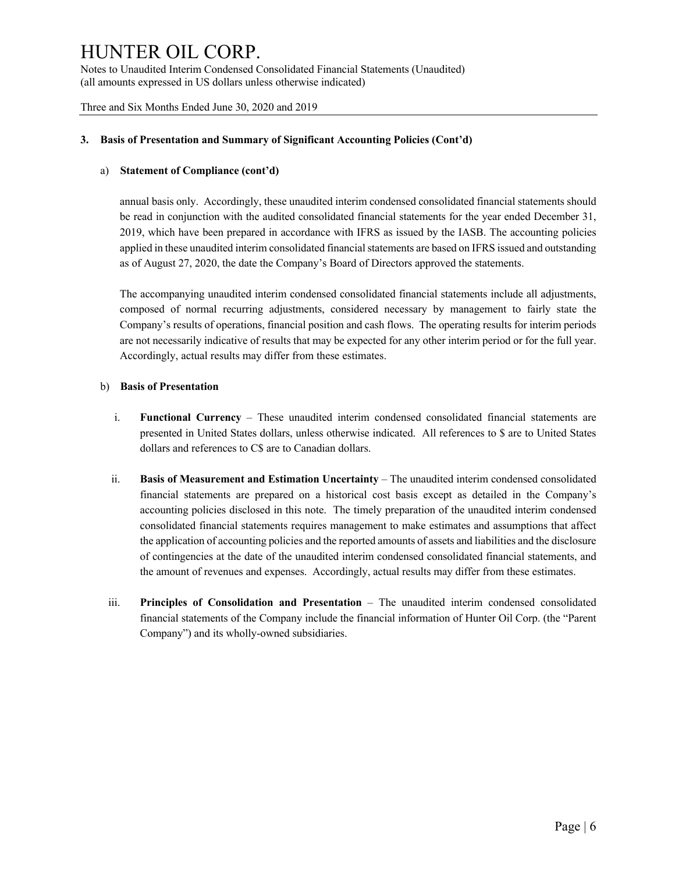Three and Six Months Ended June 30, 2020 and 2019

### **3. Basis of Presentation and Summary of Significant Accounting Policies (Cont'd)**

### a) **Statement of Compliance (cont'd)**

annual basis only. Accordingly, these unaudited interim condensed consolidated financial statements should be read in conjunction with the audited consolidated financial statements for the year ended December 31, 2019, which have been prepared in accordance with IFRS as issued by the IASB. The accounting policies applied in these unaudited interim consolidated financial statements are based on IFRS issued and outstanding as of August 27, 2020, the date the Company's Board of Directors approved the statements.

The accompanying unaudited interim condensed consolidated financial statements include all adjustments, composed of normal recurring adjustments, considered necessary by management to fairly state the Company's results of operations, financial position and cash flows. The operating results for interim periods are not necessarily indicative of results that may be expected for any other interim period or for the full year. Accordingly, actual results may differ from these estimates.

### b) **Basis of Presentation**

- i. **Functional Currency** These unaudited interim condensed consolidated financial statements are presented in United States dollars, unless otherwise indicated. All references to \$ are to United States dollars and references to C\$ are to Canadian dollars.
- ii. **Basis of Measurement and Estimation Uncertainty** The unaudited interim condensed consolidated financial statements are prepared on a historical cost basis except as detailed in the Company's accounting policies disclosed in this note. The timely preparation of the unaudited interim condensed consolidated financial statements requires management to make estimates and assumptions that affect the application of accounting policies and the reported amounts of assets and liabilities and the disclosure of contingencies at the date of the unaudited interim condensed consolidated financial statements, and the amount of revenues and expenses. Accordingly, actual results may differ from these estimates.
- iii. **Principles of Consolidation and Presentation** The unaudited interim condensed consolidated financial statements of the Company include the financial information of Hunter Oil Corp. (the "Parent Company") and its wholly-owned subsidiaries.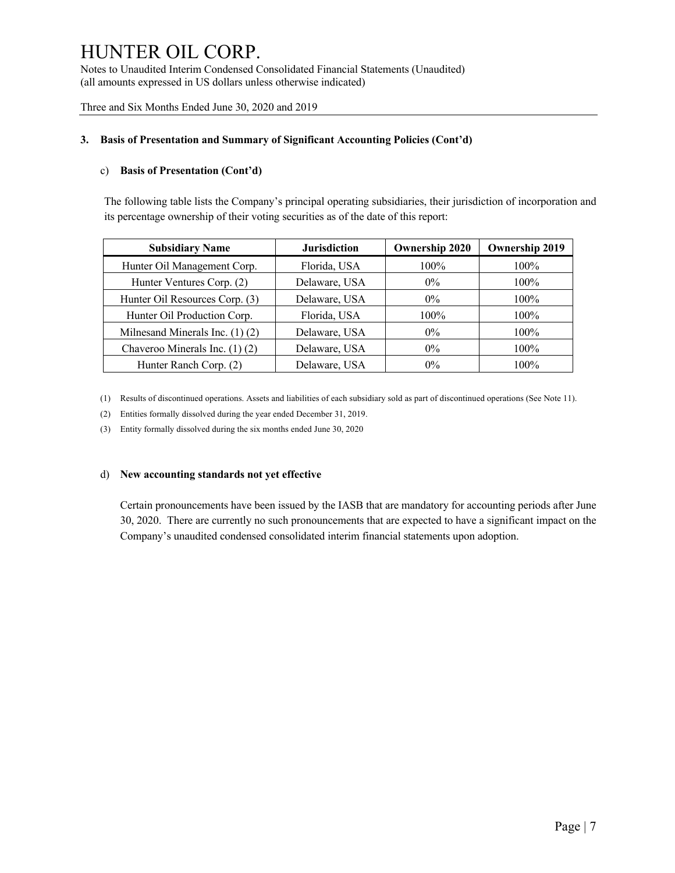Three and Six Months Ended June 30, 2020 and 2019

### **3. Basis of Presentation and Summary of Significant Accounting Policies (Cont'd)**

### c) **Basis of Presentation (Cont'd)**

The following table lists the Company's principal operating subsidiaries, their jurisdiction of incorporation and its percentage ownership of their voting securities as of the date of this report:

| <b>Subsidiary Name</b>              | <b>Jurisdiction</b> | <b>Ownership 2020</b> | <b>Ownership 2019</b> |
|-------------------------------------|---------------------|-----------------------|-----------------------|
| Hunter Oil Management Corp.         | Florida, USA        | 100%                  | $100\%$               |
| Hunter Ventures Corp. (2)           | Delaware, USA       | $0\%$                 | $100\%$               |
| Hunter Oil Resources Corp. (3)      | Delaware, USA       | $0\%$                 | $100\%$               |
| Hunter Oil Production Corp.         | Florida, USA        | $100\%$               | $100\%$               |
| Milnesand Minerals Inc. $(1)$ $(2)$ | Delaware, USA       | $0\%$                 | $100\%$               |
| Chaveroo Minerals Inc. (1) (2)      | Delaware, USA       | $0\%$                 | $100\%$               |
| Hunter Ranch Corp. (2)              | Delaware, USA       | $0\%$                 | 100%                  |

(1) Results of discontinued operations. Assets and liabilities of each subsidiary sold as part of discontinued operations (See Note 11).

(2) Entities formally dissolved during the year ended December 31, 2019.

(3) Entity formally dissolved during the six months ended June 30, 2020

### d) **New accounting standards not yet effective**

Certain pronouncements have been issued by the IASB that are mandatory for accounting periods after June 30, 2020. There are currently no such pronouncements that are expected to have a significant impact on the Company's unaudited condensed consolidated interim financial statements upon adoption.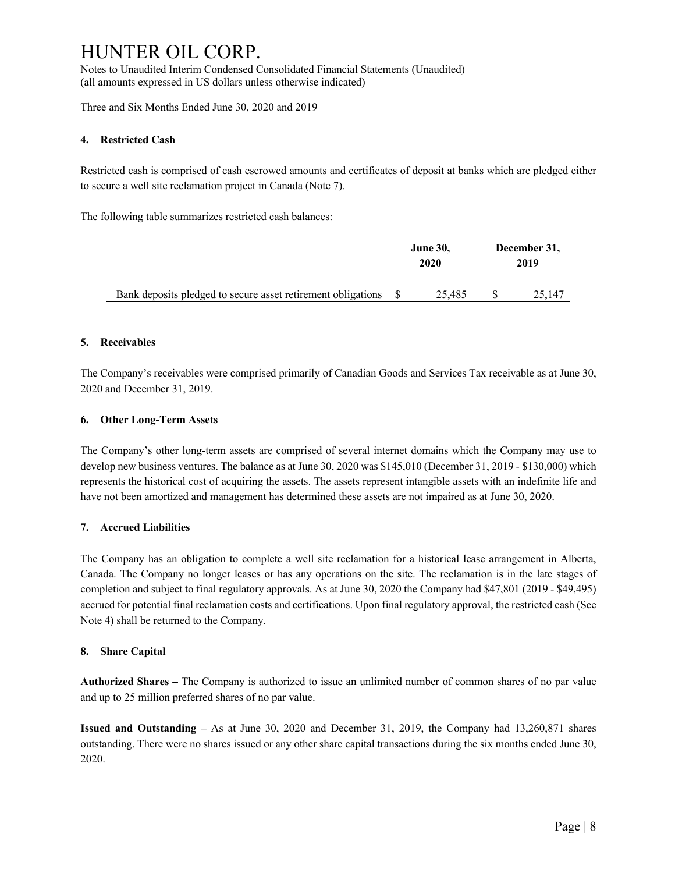Three and Six Months Ended June 30, 2020 and 2019

### **4. Restricted Cash**

Restricted cash is comprised of cash escrowed amounts and certificates of deposit at banks which are pledged either to secure a well site reclamation project in Canada (Note 7).

The following table summarizes restricted cash balances:

|                                                                 | <b>June 30,</b><br>2020 |        | December 31,<br>2019 |        |
|-----------------------------------------------------------------|-------------------------|--------|----------------------|--------|
| Bank deposits pledged to secure asset retirement obligations \$ |                         | 25.485 |                      | 25,147 |

### **5. Receivables**

The Company's receivables were comprised primarily of Canadian Goods and Services Tax receivable as at June 30, 2020 and December 31, 2019.

### **6. Other Long-Term Assets**

The Company's other long-term assets are comprised of several internet domains which the Company may use to develop new business ventures. The balance as at June 30, 2020 was \$145,010 (December 31, 2019 - \$130,000) which represents the historical cost of acquiring the assets. The assets represent intangible assets with an indefinite life and have not been amortized and management has determined these assets are not impaired as at June 30, 2020.

### **7. Accrued Liabilities**

The Company has an obligation to complete a well site reclamation for a historical lease arrangement in Alberta, Canada. The Company no longer leases or has any operations on the site. The reclamation is in the late stages of completion and subject to final regulatory approvals. As at June 30, 2020 the Company had \$47,801 (2019 - \$49,495) accrued for potential final reclamation costs and certifications. Upon final regulatory approval, the restricted cash (See Note 4) shall be returned to the Company.

### **8. Share Capital**

**Authorized Shares –** The Company is authorized to issue an unlimited number of common shares of no par value and up to 25 million preferred shares of no par value.

**Issued and Outstanding –** As at June 30, 2020 and December 31, 2019, the Company had 13,260,871 shares outstanding. There were no shares issued or any other share capital transactions during the six months ended June 30, 2020.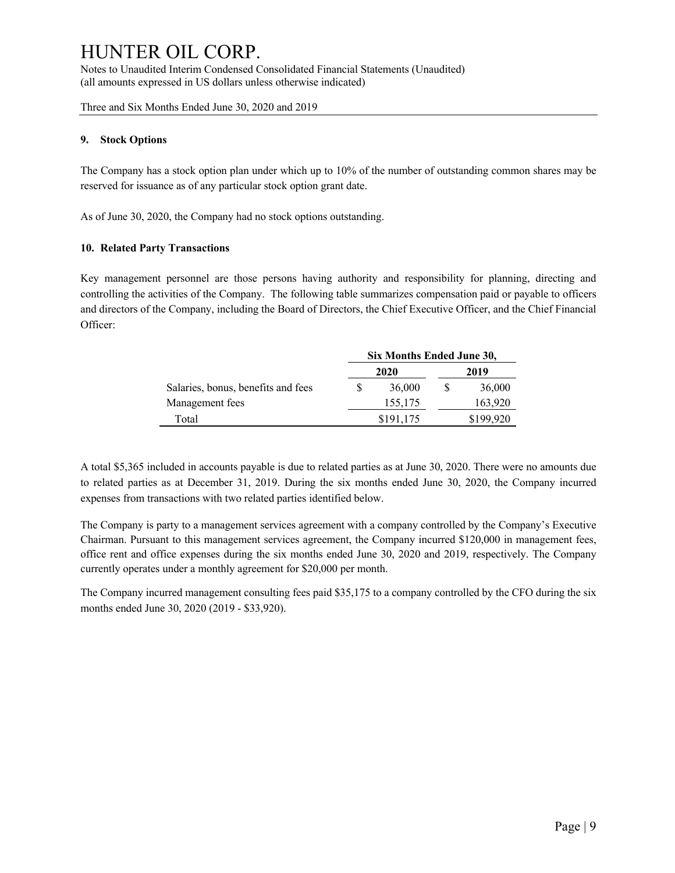Three and Six Months Ended June 30, 2020 and 2019

### **9. Stock Options**

The Company has a stock option plan under which up to 10% of the number of outstanding common shares may be reserved for issuance as of any particular stock option grant date.

As of June 30, 2020, the Company had no stock options outstanding.

### **10. Related Party Transactions**

Key management personnel are those persons having authority and responsibility for planning, directing and controlling the activities of the Company. The following table summarizes compensation paid or payable to officers and directors of the Company, including the Board of Directors, the Chief Executive Officer, and the Chief Financial Officer:

|                                    | Six Months Ended June 30, |           |   |           |  |
|------------------------------------|---------------------------|-----------|---|-----------|--|
|                                    | 2020                      |           |   | 2019      |  |
| Salaries, bonus, benefits and fees |                           | 36,000    | S | 36,000    |  |
| Management fees                    |                           | 155,175   |   | 163,920   |  |
| Total                              |                           | \$191,175 |   | \$199,920 |  |

A total \$5,365 included in accounts payable is due to related parties as at June 30, 2020. There were no amounts due to related parties as at December 31, 2019. During the six months ended June 30, 2020, the Company incurred expenses from transactions with two related parties identified below.

The Company is party to a management services agreement with a company controlled by the Company's Executive Chairman. Pursuant to this management services agreement, the Company incurred \$120,000 in management fees, office rent and office expenses during the six months ended June 30, 2020 and 2019, respectively. The Company currently operates under a monthly agreement for \$20,000 per month.

The Company incurred management consulting fees paid \$35,175 to a company controlled by the CFO during the six months ended June 30, 2020 (2019 - \$33,920).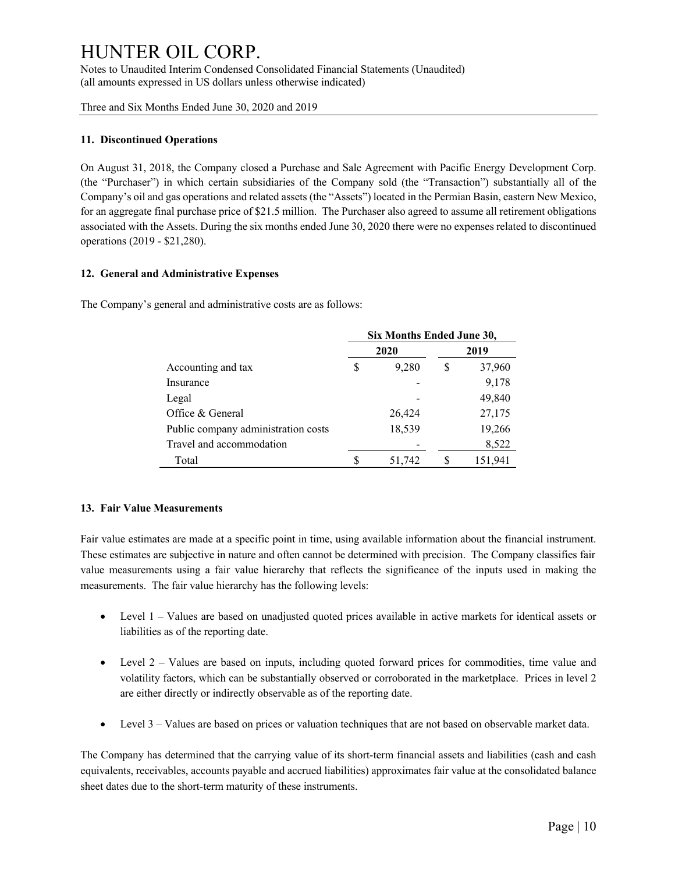Three and Six Months Ended June 30, 2020 and 2019

### **11. Discontinued Operations**

On August 31, 2018, the Company closed a Purchase and Sale Agreement with Pacific Energy Development Corp. (the "Purchaser") in which certain subsidiaries of the Company sold (the "Transaction") substantially all of the Company's oil and gas operations and related assets (the "Assets") located in the Permian Basin, eastern New Mexico, for an aggregate final purchase price of \$21.5 million. The Purchaser also agreed to assume all retirement obligations associated with the Assets. During the six months ended June 30, 2020 there were no expenses related to discontinued operations (2019 - \$21,280).

### **12. General and Administrative Expenses**

The Company's general and administrative costs are as follows:

|                                     | Six Months Ended June 30, |        |      |         |  |
|-------------------------------------|---------------------------|--------|------|---------|--|
|                                     |                           | 2020   | 2019 |         |  |
| Accounting and tax                  | S                         | 9,280  | S    | 37,960  |  |
| Insurance                           |                           |        |      | 9,178   |  |
| Legal                               |                           |        |      | 49,840  |  |
| Office & General                    |                           | 26,424 |      | 27,175  |  |
| Public company administration costs |                           | 18,539 |      | 19,266  |  |
| Travel and accommodation            |                           |        |      | 8,522   |  |
| Total                               |                           | 51,742 |      | 151,941 |  |

### **13. Fair Value Measurements**

Fair value estimates are made at a specific point in time, using available information about the financial instrument. These estimates are subjective in nature and often cannot be determined with precision. The Company classifies fair value measurements using a fair value hierarchy that reflects the significance of the inputs used in making the measurements. The fair value hierarchy has the following levels:

- Level 1 Values are based on unadjusted quoted prices available in active markets for identical assets or liabilities as of the reporting date.
- Level 2 Values are based on inputs, including quoted forward prices for commodities, time value and volatility factors, which can be substantially observed or corroborated in the marketplace. Prices in level 2 are either directly or indirectly observable as of the reporting date.
- Level 3 Values are based on prices or valuation techniques that are not based on observable market data.

The Company has determined that the carrying value of its short-term financial assets and liabilities (cash and cash equivalents, receivables, accounts payable and accrued liabilities) approximates fair value at the consolidated balance sheet dates due to the short-term maturity of these instruments.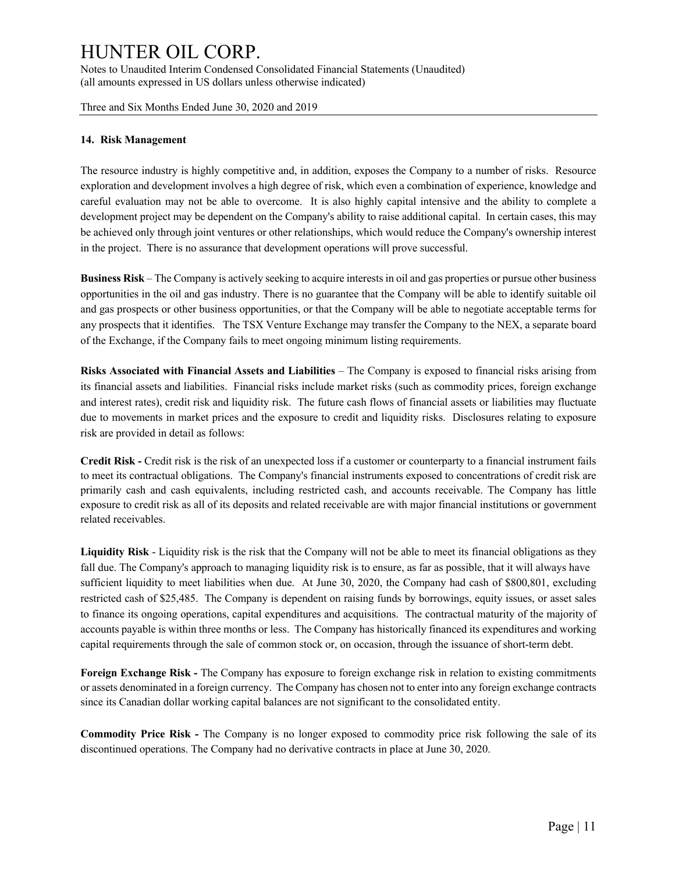Three and Six Months Ended June 30, 2020 and 2019

### **14. Risk Management**

The resource industry is highly competitive and, in addition, exposes the Company to a number of risks. Resource exploration and development involves a high degree of risk, which even a combination of experience, knowledge and careful evaluation may not be able to overcome. It is also highly capital intensive and the ability to complete a development project may be dependent on the Company's ability to raise additional capital. In certain cases, this may be achieved only through joint ventures or other relationships, which would reduce the Company's ownership interest in the project. There is no assurance that development operations will prove successful.

**Business Risk** – The Company is actively seeking to acquire interests in oil and gas properties or pursue other business opportunities in the oil and gas industry. There is no guarantee that the Company will be able to identify suitable oil and gas prospects or other business opportunities, or that the Company will be able to negotiate acceptable terms for any prospects that it identifies. The TSX Venture Exchange may transfer the Company to the NEX, a separate board of the Exchange, if the Company fails to meet ongoing minimum listing requirements.

**Risks Associated with Financial Assets and Liabilities** – The Company is exposed to financial risks arising from its financial assets and liabilities. Financial risks include market risks (such as commodity prices, foreign exchange and interest rates), credit risk and liquidity risk. The future cash flows of financial assets or liabilities may fluctuate due to movements in market prices and the exposure to credit and liquidity risks. Disclosures relating to exposure risk are provided in detail as follows:

**Credit Risk -** Credit risk is the risk of an unexpected loss if a customer or counterparty to a financial instrument fails to meet its contractual obligations. The Company's financial instruments exposed to concentrations of credit risk are primarily cash and cash equivalents, including restricted cash, and accounts receivable. The Company has little exposure to credit risk as all of its deposits and related receivable are with major financial institutions or government related receivables.

**Liquidity Risk** - Liquidity risk is the risk that the Company will not be able to meet its financial obligations as they fall due. The Company's approach to managing liquidity risk is to ensure, as far as possible, that it will always have sufficient liquidity to meet liabilities when due. At June 30, 2020, the Company had cash of \$800,801, excluding restricted cash of \$25,485. The Company is dependent on raising funds by borrowings, equity issues, or asset sales to finance its ongoing operations, capital expenditures and acquisitions. The contractual maturity of the majority of accounts payable is within three months or less. The Company has historically financed its expenditures and working capital requirements through the sale of common stock or, on occasion, through the issuance of short-term debt.

**Foreign Exchange Risk -** The Company has exposure to foreign exchange risk in relation to existing commitments or assets denominated in a foreign currency. The Company has chosen not to enter into any foreign exchange contracts since its Canadian dollar working capital balances are not significant to the consolidated entity.

**Commodity Price Risk -** The Company is no longer exposed to commodity price risk following the sale of its discontinued operations. The Company had no derivative contracts in place at June 30, 2020.